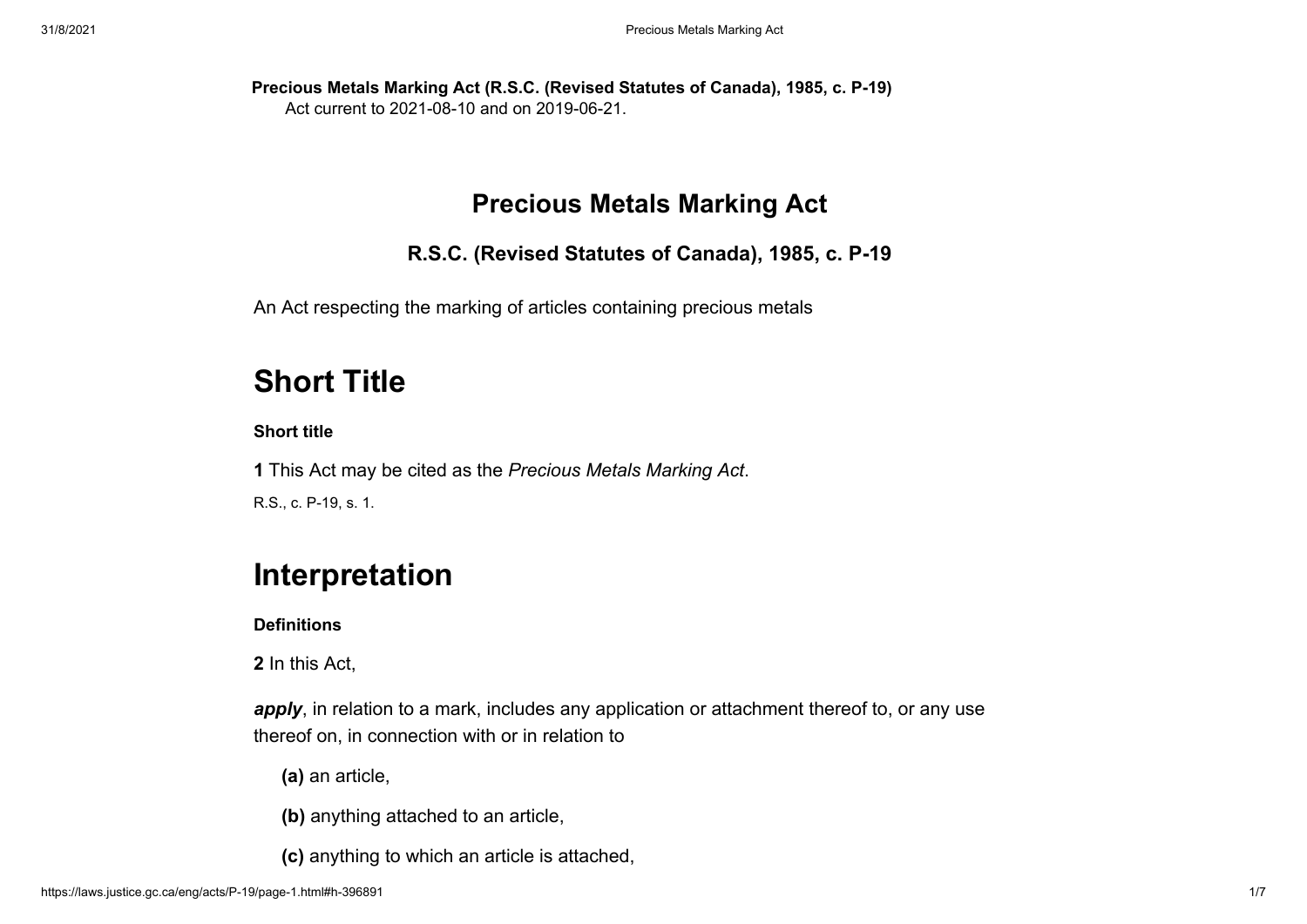**Precious Metals Marking Act (R.S.C. (Revised Statutes of Canada), 1985, c. P-19)** Act current to 2021-08-10 and on 2019-06-21.

# **Precious Metals Marking Act**

**R.S.C. (Revised Statutes of Canada), 1985, c. P-19**

An Act respecting the marking of articles containing precious metals

# **Short Title**

# **Short title**

**1** This Act may be cited as the *[Precious Metals Marking Act](https://laws.justice.gc.ca/eng/acts/P-19)*. R.S., c. P-19, s. 1.

# **Interpretation**

**Definitions**

**2** In this Act,

apply, in relation to a mark, includes any application or attachment thereof to, or any use thereof on, in connection with or in relation to

**(a)** an article,

**(b)** anything attached to an article,

**(c)** anything to which an article is attached,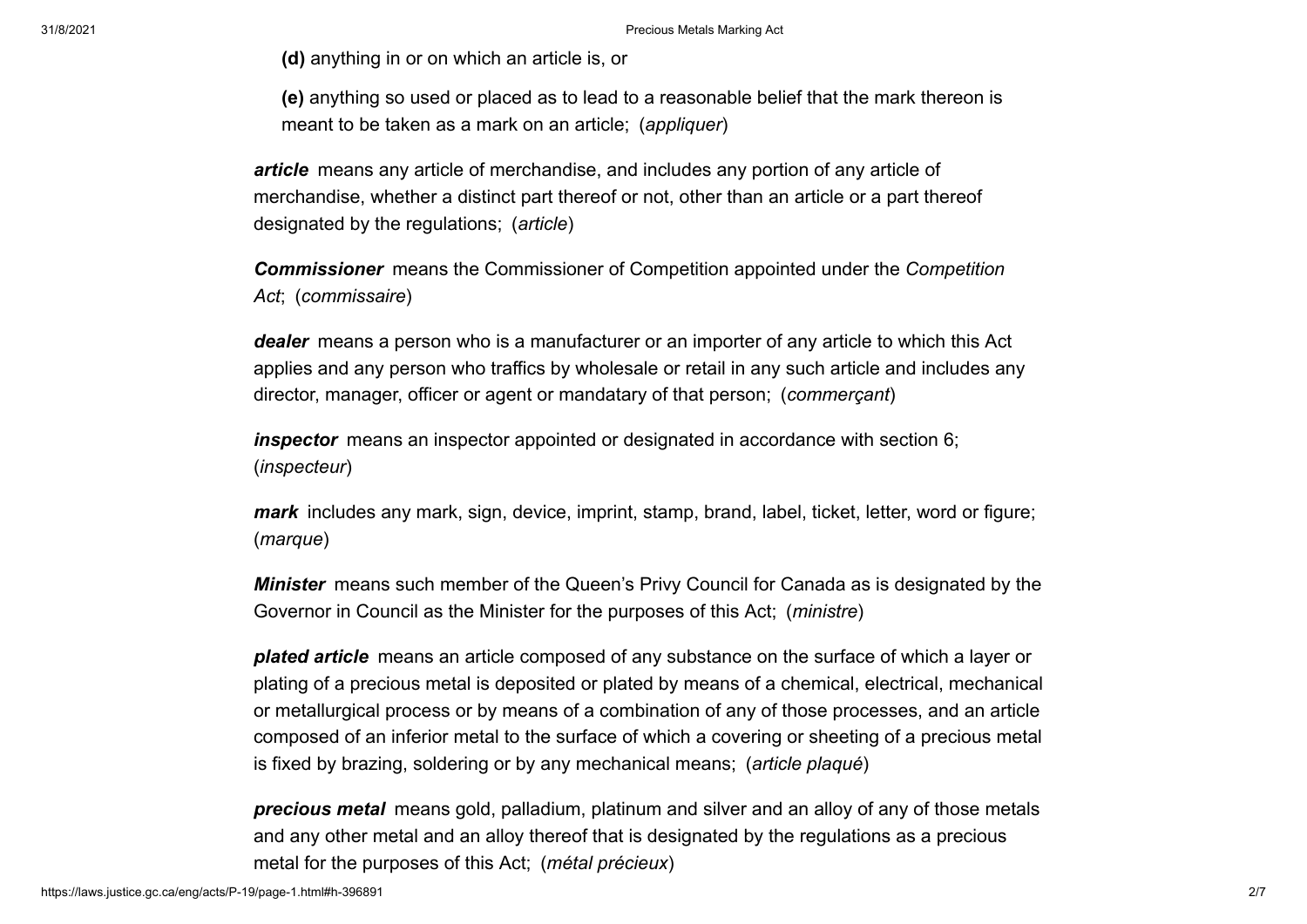**(d)** anything in or on which an article is, or

**(e)** anything so used or placed as to lead to a reasonable belief that the mark thereon is meant to be taken as a mark on an article; (*appliquer*)

*article* means any article of merchandise, and includes any portion of any article of merchandise, whether a distinct part thereof or not, other than an article or a part thereof designated by the regulations; (*article*)

*Commissioner* [means the Commissioner of Competition appointed under the](https://laws.justice.gc.ca/eng/acts/C-34) *Competition Act*; (*commissaire*)

*dealer* means a person who is a manufacturer or an importer of any article to which this Act applies and any person who traffics by wholesale or retail in any such article and includes any director, manager, officer or agent or mandatary of that person; (*commerçant*)

*inspector* means an inspector appointed or designated in accordance with section 6; (*inspecteur*)

*mark* includes any mark, sign, device, imprint, stamp, brand, label, ticket, letter, word or figure; (*marque*)

*Minister* means such member of the Queen's Privy Council for Canada as is designated by the Governor in Council as the Minister for the purposes of this Act; (*ministre*)

*plated article* means an article composed of any substance on the surface of which a layer or plating of a precious metal is deposited or plated by means of a chemical, electrical, mechanical or metallurgical process or by means of a combination of any of those processes, and an article composed of an inferior metal to the surface of which a covering or sheeting of a precious metal is fixed by brazing, soldering or by any mechanical means; (*article plaqué*)

*precious metal* means gold, palladium, platinum and silver and an alloy of any of those metals and any other metal and an alloy thereof that is designated by the regulations as a precious metal for the purposes of this Act; (*métal précieux*)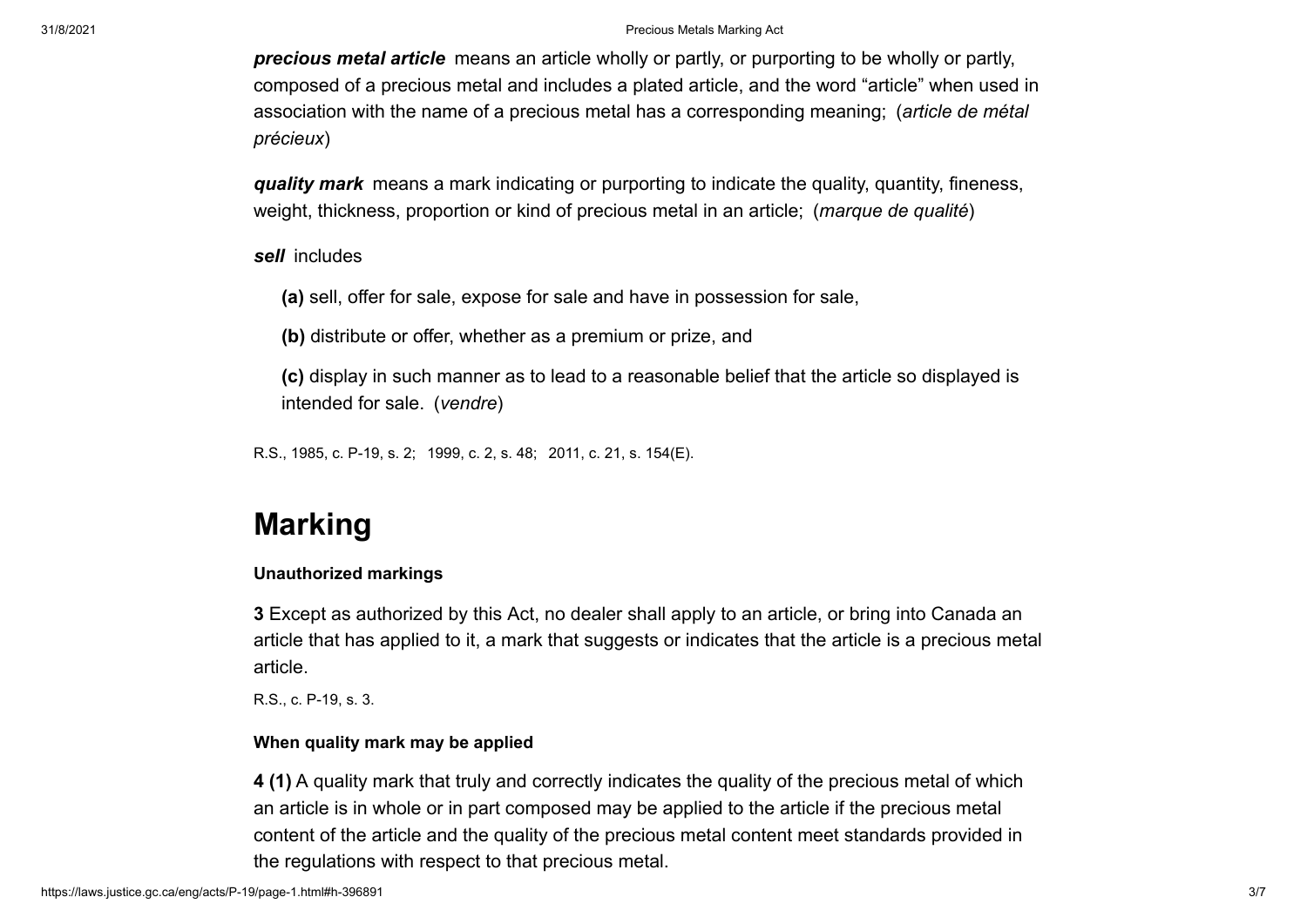*precious metal article* means an article wholly or partly, or purporting to be wholly or partly, composed of a precious metal and includes a plated article, and the word "article" when used in association with the name of a precious metal has a corresponding meaning; (*article de métal précieux*)

*quality mark* means a mark indicating or purporting to indicate the quality, quantity, fineness, weight, thickness, proportion or kind of precious metal in an article; (*marque de qualité*)

*sell* includes

**(a)** sell, offer for sale, expose for sale and have in possession for sale,

**(b)** distribute or offer, whether as a premium or prize, and

**(c)** display in such manner as to lead to a reasonable belief that the article so displayed is intended for sale. (*vendre*)

R.S., 1985, c. P-19, s. 2; 1999, c. 2, s. 48; 2011, c. 21, s. 154(E).

# **Marking**

#### **Unauthorized markings**

**3** Except as authorized by this Act, no dealer shall apply to an article, or bring into Canada an article that has applied to it, a mark that suggests or indicates that the article is a precious metal article.

R.S., c. P-19, s. 3.

# **When quality mark may be applied**

**4 (1)** A quality mark that truly and correctly indicates the quality of the precious metal of which an article is in whole or in part composed may be applied to the article if the precious metal content of the article and the quality of the precious metal content meet standards provided in the regulations with respect to that precious metal.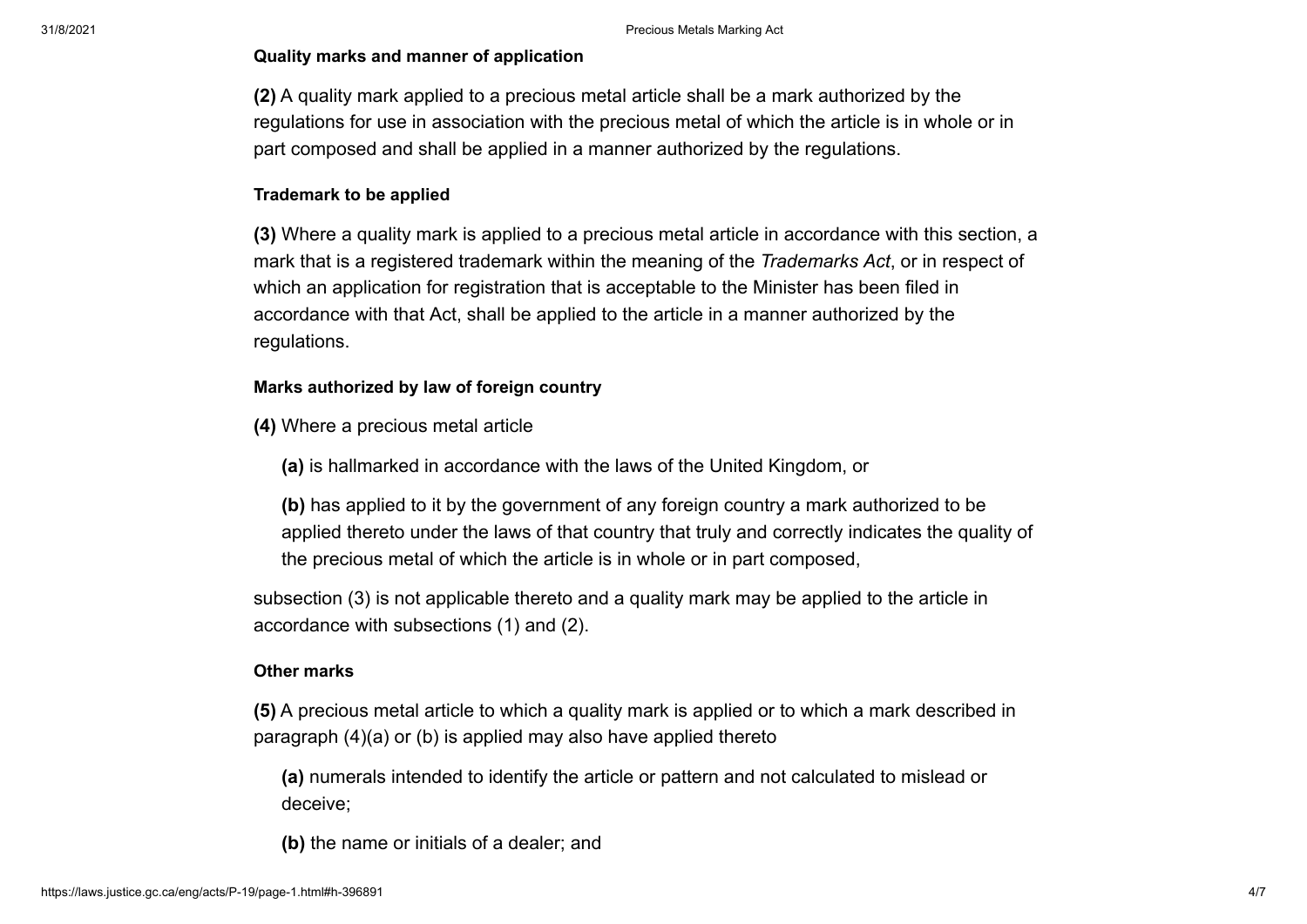### **Quality marks and manner of application**

**(2)** A quality mark applied to a precious metal article shall be a mark authorized by the regulations for use in association with the precious metal of which the article is in whole or in part composed and shall be applied in a manner authorized by the regulations.

### **Trademark to be applied**

**(3)** Where a quality mark is applied to a precious metal article in accordance with this section, a mark that is a registered trademark within the meaning of the *[Trademarks Act](https://laws.justice.gc.ca/eng/acts/T-13)*, or in respect of which an application for registration that is acceptable to the Minister has been filed in accordance with that Act, shall be applied to the article in a manner authorized by the regulations.

### **Marks authorized by law of foreign country**

**(4)** Where a precious metal article

**(a)** is hallmarked in accordance with the laws of the United Kingdom, or

**(b)** has applied to it by the government of any foreign country a mark authorized to be applied thereto under the laws of that country that truly and correctly indicates the quality of the precious metal of which the article is in whole or in part composed,

subsection (3) is not applicable thereto and a quality mark may be applied to the article in accordance with subsections (1) and (2).

#### **Other marks**

**(5)** A precious metal article to which a quality mark is applied or to which a mark described in paragraph (4)(a) or (b) is applied may also have applied thereto

**(a)** numerals intended to identify the article or pattern and not calculated to mislead or deceive;

**(b)** the name or initials of a dealer; and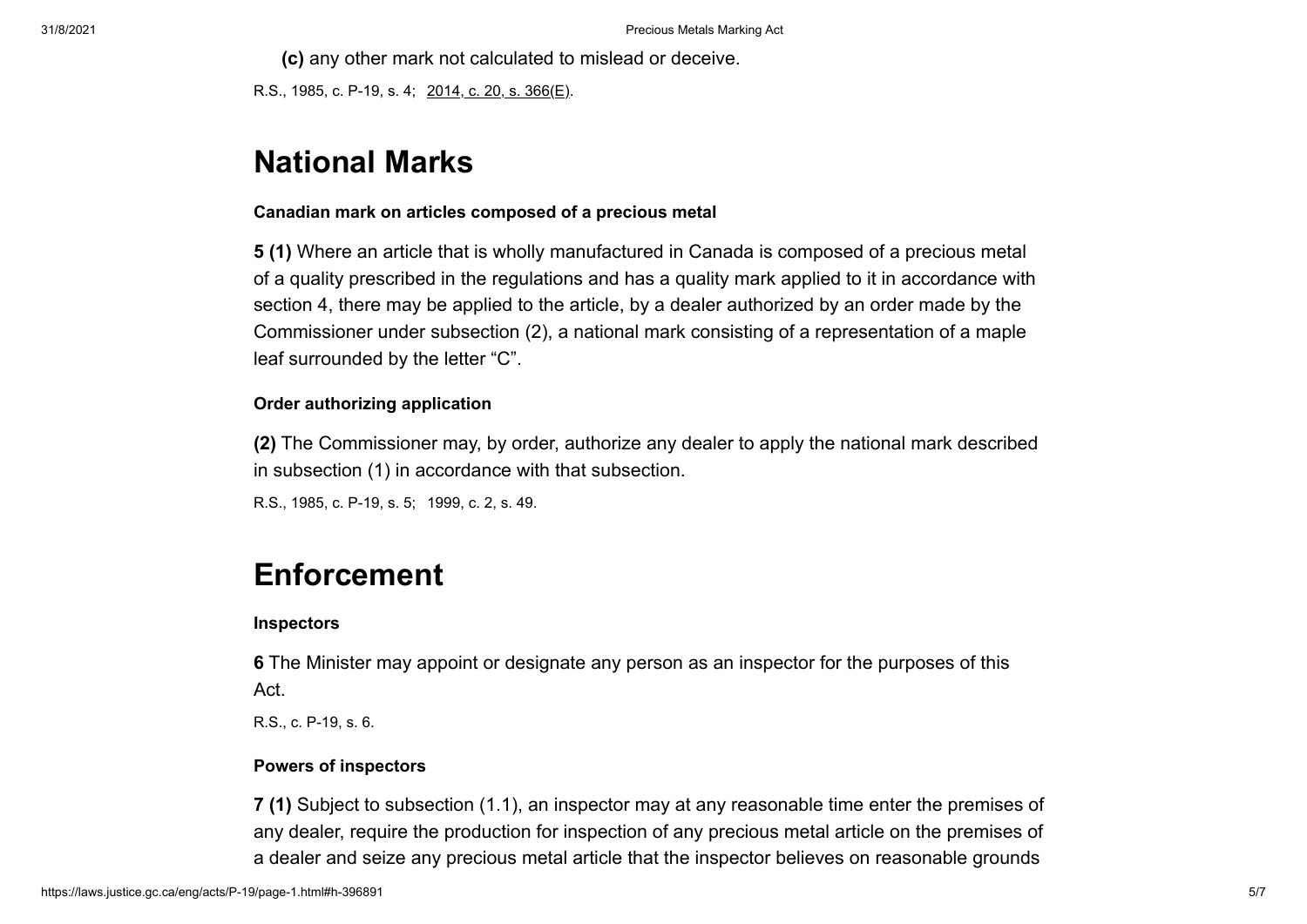**(c)** any other mark not calculated to mislead or deceive.

R.S., 1985, c. P-19, s. 4; 2014, c. 20, s. 366(E).

# **National Marks**

# **Canadian mark on articles composed of a precious metal**

**5 (1)** Where an article that is wholly manufactured in Canada is composed of a precious metal of a quality prescribed in the regulations and has a quality mark applied to it in accordance with section 4, there may be applied to the article, by a dealer authorized by an order made by the Commissioner under subsection (2), a national mark consisting of a representation of a maple leaf surrounded by the letter "C".

# **Order authorizing application**

**(2)** The Commissioner may, by order, authorize any dealer to apply the national mark described in subsection (1) in accordance with that subsection.

R.S., 1985, c. P-19, s. 5; 1999, c. 2, s. 49.

# **Enforcement**

#### **Inspectors**

**6** The Minister may appoint or designate any person as an inspector for the purposes of this Act.

R.S., c. P-19, s. 6.

#### **Powers of inspectors**

**7 (1)** Subject to subsection (1.1), an inspector may at any reasonable time enter the premises of any dealer, require the production for inspection of any precious metal article on the premises of a dealer and seize any precious metal article that the inspector believes on reasonable grounds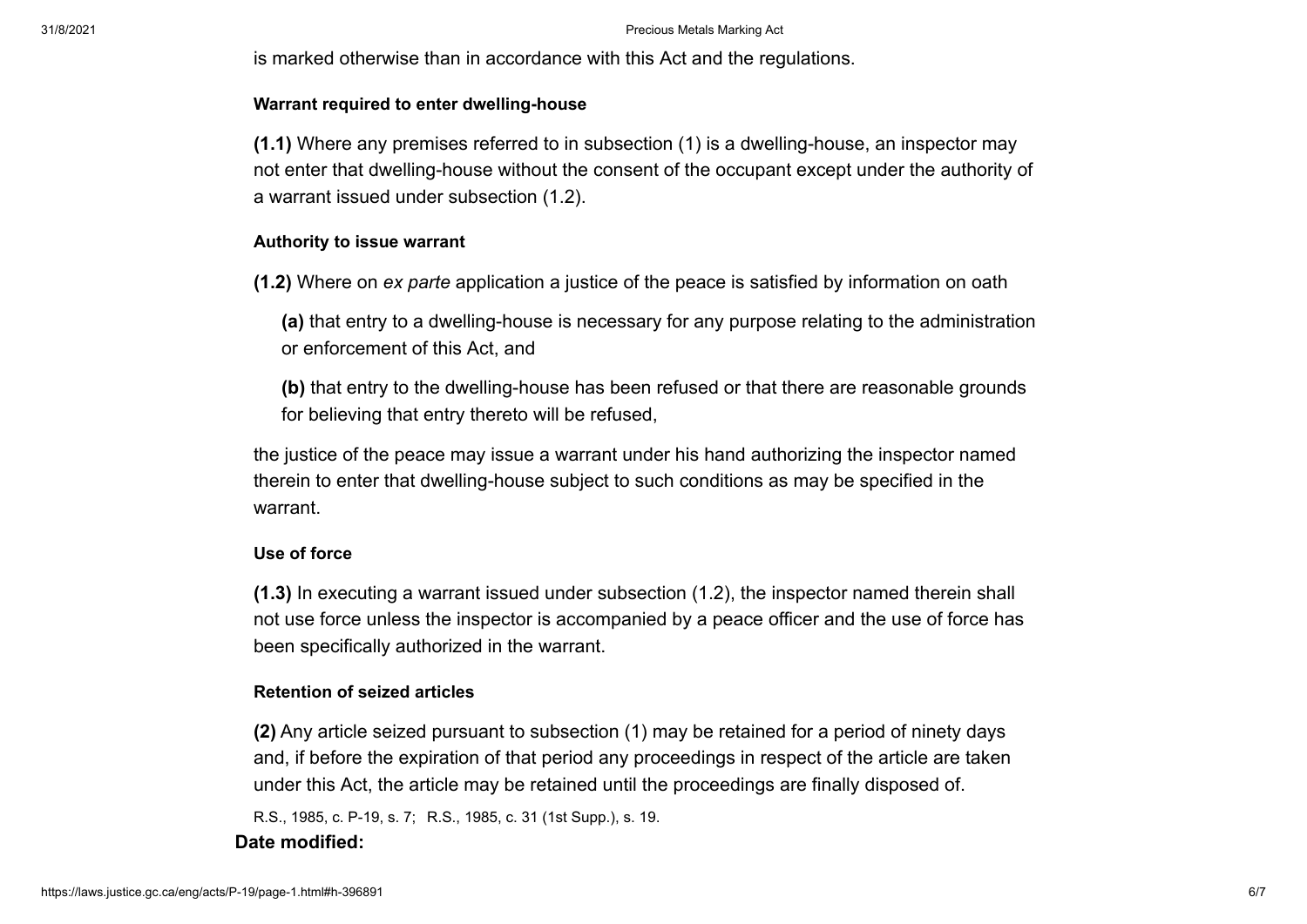is marked otherwise than in accordance with this Act and the regulations.

#### **Warrant required to enter dwelling-house**

**(1.1)** Where any premises referred to in subsection (1) is a dwelling-house, an inspector may not enter that dwelling-house without the consent of the occupant except under the authority of a warrant issued under subsection (1.2).

#### **Authority to issue warrant**

**(1.2)** Where on *ex parte* application a justice of the peace is satisfied by information on oath

**(a)** that entry to a dwelling-house is necessary for any purpose relating to the administration or enforcement of this Act, and

**(b)** that entry to the dwelling-house has been refused or that there are reasonable grounds for believing that entry thereto will be refused,

the justice of the peace may issue a warrant under his hand authorizing the inspector named therein to enter that dwelling-house subject to such conditions as may be specified in the warrant.

#### **Use of force**

**(1.3)** In executing a warrant issued under subsection (1.2), the inspector named therein shall not use force unless the inspector is accompanied by a peace officer and the use of force has been specifically authorized in the warrant.

#### **Retention of seized articles**

**(2)** Any article seized pursuant to subsection (1) may be retained for a period of ninety days and, if before the expiration of that period any proceedings in respect of the article are taken under this Act, the article may be retained until the proceedings are finally disposed of.

R.S., 1985, c. P-19, s. 7; R.S., 1985, c. 31 (1st Supp.), s. 19.

### **Date modified:**